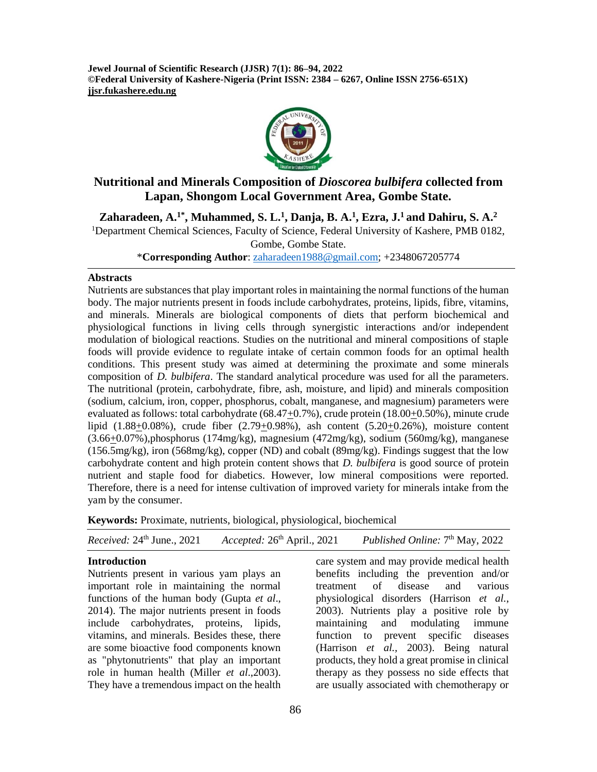**Jewel Journal of Scientific Research (JJSR) 7(1): 86–94, 2022 ©Federal University of Kashere-Nigeria (Print ISSN: 2384 – 6267, Online ISSN 2756-651X) jjsr.fukashere.edu.ng**



# **Nutritional and Minerals Composition of** *Dioscorea bulbifera* **collected from Lapan, Shongom Local Government Area, Gombe State.**

**Zaharadeen, A. 1\* , Muhammed, S. L. 1 , Danja, B. A. 1 , Ezra, J. <sup>1</sup> and Dahiru, S. A.<sup>2</sup>**

<sup>1</sup>Department Chemical Sciences, Faculty of Science, Federal University of Kashere, PMB 0182,

Gombe, Gombe State.

\***Corresponding Author**[: zaharadeen1988@gmail.com;](mailto:zaharadeen1988@gmail.com) +2348067205774

#### **Abstracts**

Nutrients are substances that play important roles in maintaining the normal functions of the human body. The major nutrients present in foods include carbohydrates, proteins, lipids, fibre, vitamins, and minerals. Minerals are biological components of diets that perform biochemical and physiological functions in living cells through synergistic interactions and/or independent modulation of biological reactions. Studies on the nutritional and mineral compositions of staple foods will provide evidence to regulate intake of certain common foods for an optimal health conditions. This present study was aimed at determining the proximate and some minerals composition of *D. bulbifera*. The standard analytical procedure was used for all the parameters. The nutritional (protein, carbohydrate, fibre, ash, moisture, and lipid) and minerals composition (sodium, calcium, iron, copper, phosphorus, cobalt, manganese, and magnesium) parameters were evaluated as follows: total carbohydrate (68.47+0.7%), crude protein (18.00+0.50%), minute crude lipid  $(1.88+0.08%)$ , crude fiber  $(2.79+0.98%)$ , ash content  $(5.20+0.26%)$ , moisture content  $(3.66\pm0.07\%)$ , phosphorus  $(174mg/kg)$ , magnesium  $(472mg/kg)$ , sodium  $(560mg/kg)$ , manganese (156.5mg/kg), iron (568mg/kg), copper (ND) and cobalt (89mg/kg). Findings suggest that the low carbohydrate content and high protein content shows that *D. bulbifera* is good source of protein nutrient and staple food for diabetics. However, low mineral compositions were reported. Therefore, there is a need for intense cultivation of improved variety for minerals intake from the yam by the consumer.

**Keywords:** Proximate, nutrients, biological, physiological, biochemical

| Received: 24th June., 2021                | Accepted: $26th$ April., 2021 |  | Published Online: 7 <sup>th</sup> May, 2022 |  |
|-------------------------------------------|-------------------------------|--|---------------------------------------------|--|
| <b>Introduction</b>                       |                               |  | care system and may provide medical health  |  |
| Nutrients present in various yam plays an |                               |  | benefits including the prevention and/or    |  |
| important role in maintaining the normal  |                               |  | treatment of disease and various            |  |

important role in maintaining the normal functions of the human body (Gupta *et al*., 2014). The major nutrients present in foods include carbohydrates, proteins, lipids, vitamins, and minerals. Besides these, there are some bioactive food components known as "phytonutrients" that play an important role in human health (Miller *et al*.,2003). They have a tremendous impact on the health

benefits including the prevention and/or treatment of disease and various physiological disorders (Harrison *et al.*, 2003). Nutrients play a positive role by maintaining and modulating immune function to prevent specific diseases (Harrison *et al.,* 2003). Being natural products, they hold a great promise in clinical therapy as they possess no side effects that are usually associated with chemotherapy or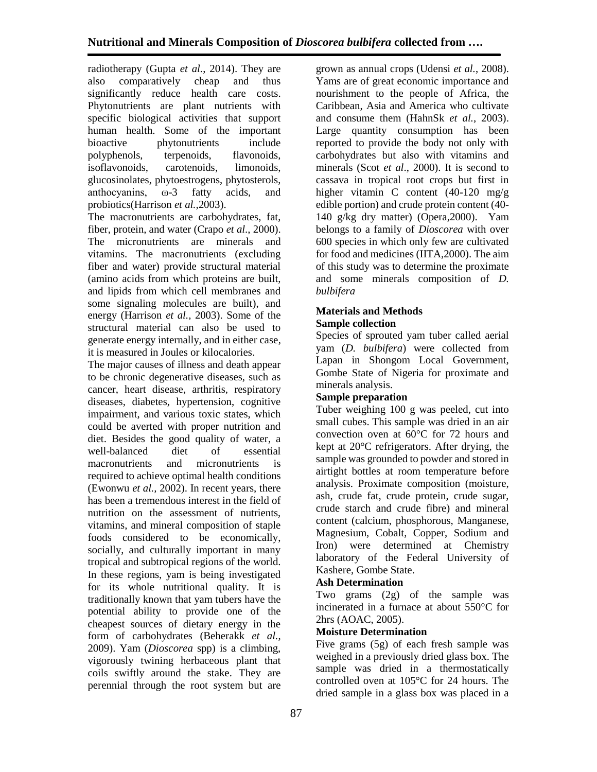radiotherapy (Gupta *et al.*, 2014). They are also comparatively cheap and thus significantly reduce health care costs. Phytonutrients are plant nutrients with specific biological activities that support human health. Some of the important bioactive phytonutrients include polyphenols, terpenoids, flavonoids, isoflavonoids, carotenoids, limonoids, glucosinolates, phytoestrogens, phytosterols, anthocyanins, ω-3 fatty acids, and probiotics(Harrison *et al.,*2003).

The macronutrients are carbohydrates, fat, fiber, protein, and water (Crapo *et al*., 2000). The micronutrients are minerals and vitamins. The macronutrients (excluding fiber and water) provide structural material (amino acids from which proteins are built, and lipids from which cell membranes and some signaling molecules are built), and energy (Harrison *et al.,* 2003). Some of the structural material can also be used to generate energy internally, and in either case, it is measured in Joules or kilocalories.

The major causes of illness and death appear to be chronic degenerative diseases, such as cancer, heart disease, arthritis, respiratory diseases, diabetes, hypertension, cognitive impairment, and various toxic states, which could be averted with proper nutrition and diet. Besides the good quality of water, a well-balanced diet of essential macronutrients and micronutrients is required to achieve optimal health conditions (Ewonwu *et al.,* 2002). In recent years, there has been a tremendous interest in the field of nutrition on the assessment of nutrients, vitamins, and mineral composition of staple foods considered to be economically, socially, and culturally important in many tropical and subtropical regions of the world. In these regions, yam is being investigated for its whole nutritional quality. It is traditionally known that yam tubers have the potential ability to provide one of the cheapest sources of dietary energy in the form of carbohydrates (Beherakk *et al.*, 2009). Yam (*Dioscorea* spp) is a climbing, vigorously twining herbaceous plant that coils swiftly around the stake. They are perennial through the root system but are

grown as annual crops (Udensi *et al.*, 2008). Yams are of great economic importance and nourishment to the people of Africa, the Caribbean, Asia and America who cultivate and consume them (HahnSk *et al.*, 2003). Large quantity consumption has been reported to provide the body not only with carbohydrates but also with vitamins and minerals (Scot *et al*., 2000). It is second to cassava in tropical root crops but first in higher vitamin C content (40-120 mg/g edible portion) and crude protein content (40- 140 g/kg dry matter) (Opera,2000). Yam belongs to a family of *Dioscorea* with over 600 species in which only few are cultivated for food and medicines (IITA,2000). The aim of this study was to determine the proximate and some minerals composition of *D. bulbifera*

## **Materials and Methods Sample collection**

Species of sprouted yam tuber called aerial yam (*D. bulbifera*) were collected from Lapan in Shongom Local Government, Gombe State of Nigeria for proximate and minerals analysis.

# **Sample preparation**

Tuber weighing 100 g was peeled, cut into small cubes. This sample was dried in an air convection oven at 60°C for 72 hours and kept at 20°C refrigerators. After drying, the sample was grounded to powder and stored in airtight bottles at room temperature before analysis. Proximate composition (moisture, ash, crude fat, crude protein, crude sugar, crude starch and crude fibre) and mineral content (calcium, phosphorous, Manganese, Magnesium, Cobalt, Copper, Sodium and Iron) were determined at Chemistry laboratory of the Federal University of Kashere, Gombe State.

## **Ash Determination**

Two grams (2g) of the sample was incinerated in a furnace at about 550°C for 2hrs (AOAC, 2005).

## **Moisture Determination**

Five grams (5g) of each fresh sample was weighed in a previously dried glass box. The sample was dried in a thermostatically controlled oven at 105°C for 24 hours. The dried sample in a glass box was placed in a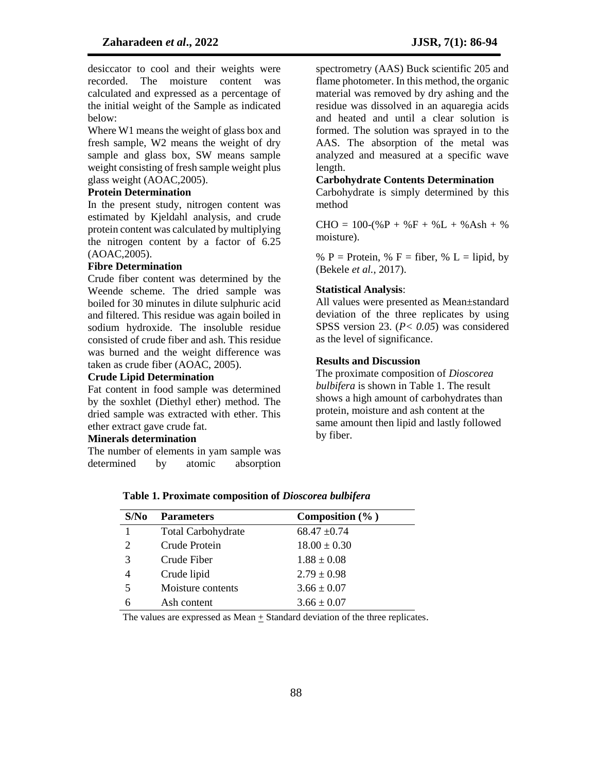desiccator to cool and their weights were recorded. The moisture content was calculated and expressed as a percentage of the initial weight of the Sample as indicated below:

Where W1 means the weight of glass box and fresh sample, W2 means the weight of dry sample and glass box, SW means sample weight consisting of fresh sample weight plus glass weight (AOAC,2005).

### **Protein Determination**

In the present study, nitrogen content was estimated by Kjeldahl analysis, and crude protein content was calculated by multiplying the nitrogen content by a factor of 6.25 (AOAC,2005).

#### **Fibre Determination**

Crude fiber content was determined by the Weende scheme. The dried sample was boiled for 30 minutes in dilute sulphuric acid and filtered. This residue was again boiled in sodium hydroxide. The insoluble residue consisted of crude fiber and ash. This residue was burned and the weight difference was taken as crude fiber (AOAC, 2005).

### **Crude Lipid Determination**

Fat content in food sample was determined by the soxhlet (Diethyl ether) method. The dried sample was extracted with ether. This ether extract gave crude fat.

#### **Minerals determination**

The number of elements in yam sample was determined by atomic absorption

spectrometry (AAS) Buck scientific 205 and flame photometer. In this method, the organic material was removed by dry ashing and the residue was dissolved in an aquaregia acids and heated and until a clear solution is formed. The solution was sprayed in to the AAS. The absorption of the metal was analyzed and measured at a specific wave length.

### **Carbohydrate Contents Determination**

Carbohydrate is simply determined by this method

 $CHO = 100-(%P + %F + %L + %Ash + %H)$ moisture).

% P = Protein, % F = fiber, % L = lipid, by (Bekele *et al.*, 2017).

### **Statistical Analysis**:

All values were presented as Mean±standard deviation of the three replicates by using SPSS version 23. (*P< 0.05*) was considered as the level of significance.

### **Results and Discussion**

The proximate composition of *Dioscorea bulbifera* is shown in Table 1. The result shows a high amount of carbohydrates than protein, moisture and ash content at the same amount then lipid and lastly followed by fiber.

| S/No | <b>Parameters</b>         | Composition $(\% )$ |
|------|---------------------------|---------------------|
|      | <b>Total Carbohydrate</b> | $68.47 \pm 0.74$    |
| 2    | Crude Protein             | $18.00 \pm 0.30$    |
| 3    | Crude Fiber               | $1.88 \pm 0.08$     |
| 4    | Crude lipid               | $2.79 \pm 0.98$     |
| 5    | Moisture contents         | $3.66 \pm 0.07$     |
|      | Ash content               | $3.66 \pm 0.07$     |

**Table 1. Proximate composition of** *Dioscorea bulbifera*

The values are expressed as Mean + Standard deviation of the three replicates.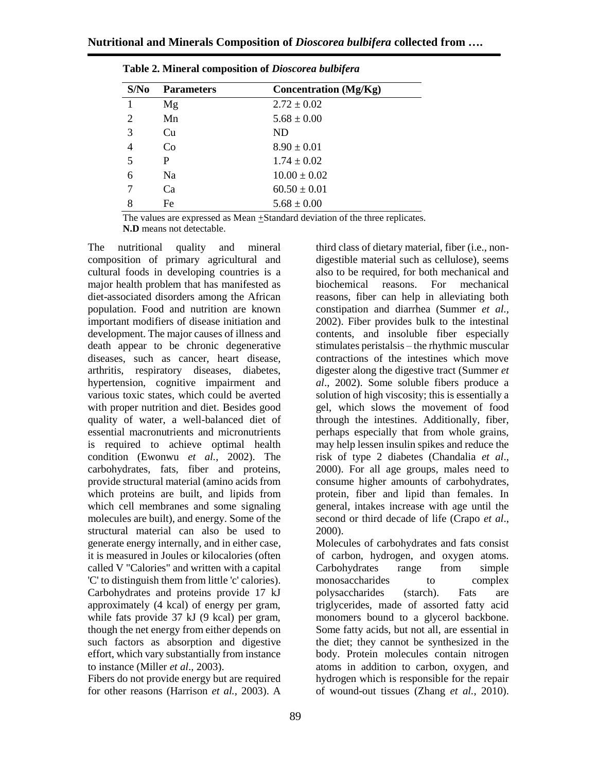| S/No | <b>Parameters</b> | <b>Concentration</b> (Mg/Kg) |
|------|-------------------|------------------------------|
|      | Mg                | $2.72 \pm 0.02$              |
| 2    | Mn                | $5.68 \pm 0.00$              |
| 3    | Cu                | ND                           |
| 4    | Co                | $8.90 \pm 0.01$              |
| 5    | P                 | $1.74 \pm 0.02$              |
| 6    | N <sub>a</sub>    | $10.00 \pm 0.02$             |
|      | Ca                | $60.50 \pm 0.01$             |
| 8    | Fe                | $5.68 \pm 0.00$              |

The values are expressed as Mean +Standard deviation of the three replicates. **N.D** means not detectable.

The nutritional quality and mineral composition of primary agricultural and cultural foods in developing countries is a major health problem that has manifested as diet-associated disorders among the African population. Food and nutrition are known important modifiers of disease initiation and development. The major causes of illness and death appear to be chronic degenerative diseases, such as cancer, heart disease, arthritis, respiratory diseases, diabetes, hypertension, cognitive impairment and various toxic states, which could be averted with proper nutrition and diet. Besides good quality of water, a well-balanced diet of essential macronutrients and micronutrients is required to achieve optimal health condition (Ewonwu *et al.*, 2002). The carbohydrates, fats, fiber and proteins, provide structural material (amino acids from which proteins are built, and lipids from which cell membranes and some signaling molecules are built), and energy. Some of the structural material can also be used to generate energy internally, and in either case, it is measured in Joules or kilocalories (often called V "Calories" and written with a capital 'C' to distinguish them from little 'c' calories). Carbohydrates and proteins provide 17 kJ approximately (4 kcal) of energy per gram, while fats provide 37 kJ (9 kcal) per gram, though the net energy from either depends on such factors as absorption and digestive effort, which vary substantially from instance to instance (Miller *et al*., 2003).

Fibers do not provide energy but are required for other reasons (Harrison *et al.,* 2003). A

third class of dietary material, fiber (i.e., nondigestible material such as cellulose), seems also to be required, for both mechanical and biochemical reasons. For mechanical reasons, fiber can help in alleviating both constipation and diarrhea (Summer *et al.,* 2002). Fiber provides bulk to the intestinal contents, and insoluble fiber especially stimulates peristalsis – the rhythmic muscular contractions of the intestines which move digester along the digestive tract (Summer *et al*., 2002). Some soluble fibers produce a solution of high viscosity; this is essentially a gel, which slows the movement of food through the intestines. Additionally, fiber, perhaps especially that from whole grains, may help lessen insulin spikes and reduce the risk of type 2 diabetes (Chandalia *et al*., 2000). For all age groups, males need to consume higher amounts of carbohydrates, protein, fiber and lipid than females. In general, intakes increase with age until the second or third decade of life (Crapo *et al*., 2000).

Molecules of carbohydrates and fats consist of carbon, hydrogen, and oxygen atoms. Carbohydrates range from simple monosaccharides to complex polysaccharides (starch). Fats are triglycerides, made of assorted fatty acid monomers bound to a glycerol backbone. Some fatty acids, but not all, are essential in the diet; they cannot be synthesized in the body. Protein molecules contain nitrogen atoms in addition to carbon, oxygen, and hydrogen which is responsible for the repair of wound-out tissues (Zhang *et al.*, 2010).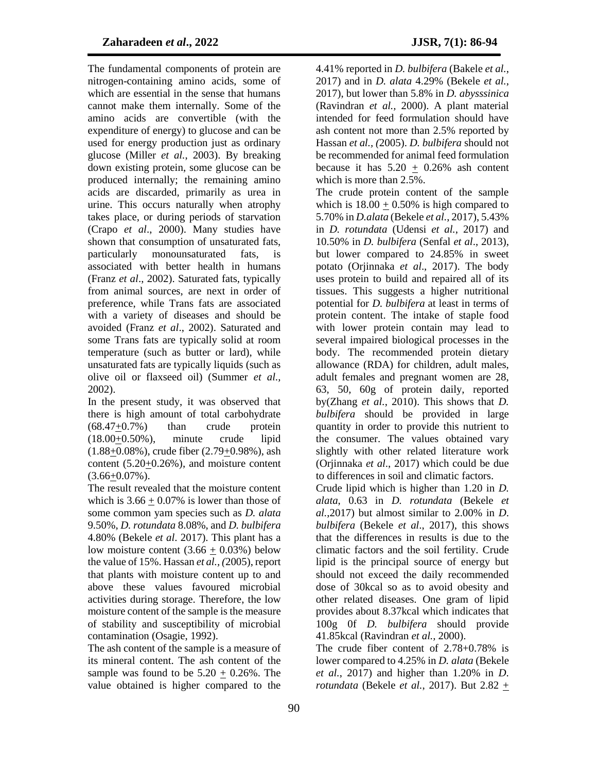The fundamental components of protein are nitrogen-containing amino acids, some of which are essential in the sense that humans cannot make them internally. Some of the amino acids are convertible (with the expenditure of energy) to glucose and can be used for energy production just as ordinary glucose (Miller *et al.*, 2003). By breaking down existing protein, some glucose can be produced internally; the remaining amino acids are discarded, primarily as urea in urine. This occurs naturally when atrophy takes place, or during periods of starvation (Crapo *et al*., 2000). Many studies have shown that consumption of unsaturated fats, particularly monounsaturated fats, is associated with better health in humans (Franz *et al*., 2002). Saturated fats, typically from animal sources, are next in order of preference, while Trans fats are associated with a variety of diseases and should be avoided (Franz *et al*., 2002). Saturated and some Trans fats are typically solid at room temperature (such as butter or lard), while unsaturated fats are typically liquids (such as olive oil or flaxseed oil) (Summer *et al.,*  2002).

In the present study, it was observed that there is high amount of total carbohydrate (68.47+0.7%) than crude protein (18.00+0.50%), minute crude lipid (1.88+0.08%), crude fiber (2.79+0.98%), ash content (5.20+0.26%), and moisture content  $(3.66+0.07\%)$ .

The result revealed that the moisture content which is  $3.66 + 0.07\%$  is lower than those of some common yam species such as *D. alata* 9.50%, *D. rotundata* 8.08%, and *D. bulbifera* 4.80% (Bekele *et al*. 2017). This plant has a low moisture content  $(3.66 + 0.03%)$  below the value of 15%. Hassan *et al., (*2005), report that plants with moisture content up to and above these values favoured microbial activities during storage. Therefore, the low moisture content of the sample is the measure of stability and susceptibility of microbial contamination (Osagie, 1992).

The ash content of the sample is a measure of its mineral content. The ash content of the sample was found to be  $5.20 + 0.26\%$ . The value obtained is higher compared to the

4.41% reported in *D. bulbifera* (Bakele *et al.*, 2017) and in *D. alata* 4.29% (Bekele *et al.*, 2017), but lower than 5.8% in *D. abysssinica* (Ravindran *et al.,* 2000). A plant material intended for feed formulation should have ash content not more than 2.5% reported by Hassan *et al., (*2005). *D. bulbifera* should not be recommended for animal feed formulation because it has  $5.20 + 0.26\%$  ash content which is more than 2.5%.

The crude protein content of the sample which is  $18.00 + 0.50\%$  is high compared to 5.70% in *D.alata* (Bekele *et al.*, 2017), 5.43% in *D. rotundata* (Udensi *et al.*, 2017) and 10.50% in *D. bulbifera* (Senfal *et al*., 2013), but lower compared to 24.85% in sweet potato (Orjinnaka *et al*., 2017). The body uses protein to build and repaired all of its tissues. This suggests a higher nutritional potential for *D. bulbifera* at least in terms of protein content. The intake of staple food with lower protein contain may lead to several impaired biological processes in the body. The recommended protein dietary allowance (RDA) for children, adult males, adult females and pregnant women are 28, 63, 50, 60g of protein daily, reported by(Zhang *et al.*, 2010). This shows that *D. bulbifera* should be provided in large quantity in order to provide this nutrient to the consumer. The values obtained vary slightly with other related literature work (Orjinnaka *et al*., 2017) which could be due to differences in soil and climatic factors.

Crude lipid which is higher than 1.20 in *D. alata*, 0.63 in *D. rotundata* (Bekele *et al.*,2017) but almost similar to 2.00% in *D*. *bulbifera* (Bekele *et al*., 2017), this shows that the differences in results is due to the climatic factors and the soil fertility. Crude lipid is the principal source of energy but should not exceed the daily recommended dose of 30kcal so as to avoid obesity and other related diseases. One gram of lipid provides about 8.37kcal which indicates that 100g 0f *D. bulbifera* should provide 41.85kcal (Ravindran *et al.,* 2000).

The crude fiber content of 2.78+0.78% is lower compared to 4.25% in *D. alata* (Bekele *et al.*, 2017) and higher than 1.20% in *D*. *rotundata* (Bekele *et al.*, 2017). But 2.82  $+$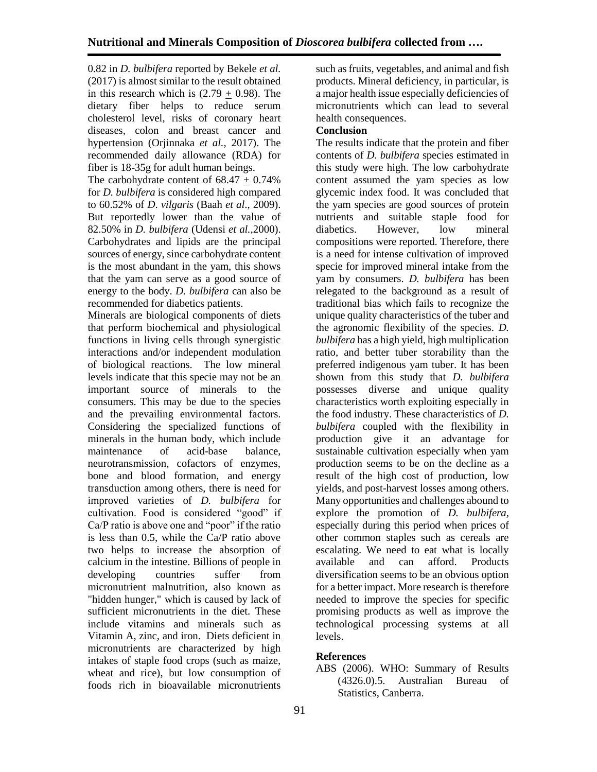0.82 in *D. bulbifera* reported by Bekele *et al.* (2017) is almost similar to the result obtained in this research which is  $(2.79 + 0.98)$ . The dietary fiber helps to reduce serum cholesterol level, risks of coronary heart diseases, colon and breast cancer and hypertension (Orjinnaka *et al.,* 2017). The recommended daily allowance (RDA) for fiber is 18-35g for adult human beings.

The carbohydrate content of  $68.47 + 0.74\%$ for *D. bulbifera* is considered high compared to 60.52% of *D*. *vilgaris* (Baah *et al*., 2009). But reportedly lower than the value of 82.50% in *D. bulbifera* (Udensi *et al.,*2000). Carbohydrates and lipids are the principal sources of energy, since carbohydrate content is the most abundant in the yam, this shows that the yam can serve as a good source of energy to the body. *D. bulbifera* can also be recommended for diabetics patients.

Minerals are biological components of diets that perform biochemical and physiological functions in living cells through synergistic interactions and/or independent modulation of biological reactions. The low mineral levels indicate that this specie may not be an important source of minerals to the consumers. This may be due to the species and the prevailing environmental factors. Considering the specialized functions of minerals in the human body, which include maintenance of acid-base balance, neurotransmission, cofactors of enzymes, bone and blood formation, and energy transduction among others, there is need for improved varieties of *D. bulbifera* for cultivation. Food is considered "good" if Ca/P ratio is above one and "poor" if the ratio is less than 0.5, while the Ca/P ratio above two helps to increase the absorption of calcium in the intestine. Billions of people in developing countries suffer from micronutrient malnutrition, also known as "hidden hunger," which is caused by lack of sufficient micronutrients in the diet. These include vitamins and minerals such as Vitamin A, zinc, and iron. Diets deficient in micronutrients are characterized by high intakes of staple food crops (such as maize, wheat and rice), but low consumption of foods rich in bioavailable micronutrients

such as fruits, vegetables, and animal and fish products. Mineral deficiency, in particular, is a major health issue especially deficiencies of micronutrients which can lead to several health consequences.

### **Conclusion**

The results indicate that the protein and fiber contents of *D. bulbifera* species estimated in this study were high. The low carbohydrate content assumed the yam species as low glycemic index food. It was concluded that the yam species are good sources of protein nutrients and suitable staple food for diabetics. However, low mineral compositions were reported. Therefore, there is a need for intense cultivation of improved specie for improved mineral intake from the yam by consumers. *D. bulbifera* has been relegated to the background as a result of traditional bias which fails to recognize the unique quality characteristics of the tuber and the agronomic flexibility of the species. *D. bulbifera* has a high yield, high multiplication ratio, and better tuber storability than the preferred indigenous yam tuber. It has been shown from this study that *D. bulbifera* possesses diverse and unique quality characteristics worth exploiting especially in the food industry. These characteristics of *D. bulbifera* coupled with the flexibility in production give it an advantage for sustainable cultivation especially when yam production seems to be on the decline as a result of the high cost of production, low yields, and post-harvest losses among others. Many opportunities and challenges abound to explore the promotion of *D. bulbifera,* especially during this period when prices of other common staples such as cereals are escalating. We need to eat what is locally available and can afford. Products diversification seems to be an obvious option for a better impact. More research is therefore needed to improve the species for specific promising products as well as improve the technological processing systems at all levels.

## **References**

ABS (2006). WHO: Summary of Results (4326.0).5. Australian Bureau of Statistics, Canberra.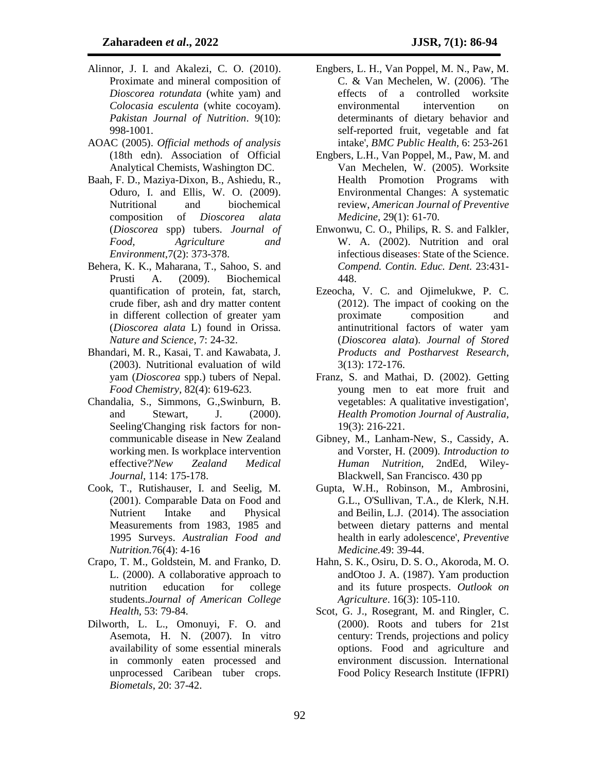- Alinnor, J. I. and Akalezi, C. O. (2010). Proximate and mineral composition of *Dioscorea rotundata* (white yam) and *Colocasia esculenta* (white cocoyam). *Pakistan Journal of Nutrition*. 9(10): 998-1001.
- AOAC (2005). *Official methods of analysis* (18th edn). Association of Official Analytical Chemists, Washington DC.
- Baah, F. D., Maziya-Dixon, B., Ashiedu, R., Oduro, I. and Ellis, W. O. (2009). Nutritional and biochemical composition of *Dioscorea alata* (*Dioscorea* spp) tubers. *Journal of Food, Agriculture and Environment,*7(2): 373-378.
- Behera, K. K., Maharana, T., Sahoo, S. and Prusti A. (2009). Biochemical quantification of protein, fat, starch, crude fiber, ash and dry matter content in different collection of greater yam (*Dioscorea alata* L) found in Orissa. *Nature and Science*, 7: 24-32.
- Bhandari, M. R., Kasai, T. and Kawabata, J. (2003). Nutritional evaluation of wild yam (*Dioscorea* spp.) tubers of Nepal. *Food Chemistry,* 82(4): 619-623.
- Chandalia, S., Simmons, G.,Swinburn, B. and Stewart, J. (2000). Seeling'Changing risk factors for noncommunicable disease in New Zealand working men. Is workplace intervention effective?'*New Zealand Medical Journal,* 114: 175-178.
- Cook, T., Rutishauser, I. and Seelig, M. (2001). Comparable Data on Food and Nutrient Intake and Physical Measurements from 1983, 1985 and 1995 Surveys. *Australian Food and Nutrition.*76(4): 4-16
- Crapo, T. M., Goldstein, M. and Franko, D. L. (2000). A collaborative approach to nutrition education for college students.*Journal of American College Health,* 53: 79-84.
- Dilworth, L. L., Omonuyi, F. O. and Asemota, H. N. (2007). In vitro availability of some essential minerals in commonly eaten processed and unprocessed Caribean tuber crops. *Biometals*, 20: 37-42.
- Engbers, L. H., Van Poppel, M. N., Paw, M. C. & Van Mechelen, W. (2006). 'The effects of a controlled worksite environmental intervention on determinants of dietary behavior and self-reported fruit, vegetable and fat intake', *BMC Public Health,* 6: 253-261
- Engbers, L.H., Van Poppel, M., Paw, M. and Van Mechelen, W. (2005). Worksite Health Promotion Programs with Environmental Changes: A systematic review, *American Journal of Preventive Medicine,* 29(1): 61-70.
- Enwonwu, C. O., Philips, R. S. and Falkler, W. A. (2002). Nutrition and oral infectious diseases: State of the Science. *Compend. Contin. Educ. Dent.* 23:431- 448.
- Ezeocha, V. C. and Ojimelukwe, P. C. (2012). The impact of cooking on the proximate composition and antinutritional factors of water yam (*Dioscorea alata*). *Journal of Stored Products and Postharvest Research*, 3(13): 172-176.
- Franz, S. and Mathai, D. (2002). Getting young men to eat more fruit and vegetables: A qualitative investigation', *Health Promotion Journal of Australia,*  19(3): 216-221.
- Gibney, M., Lanham-New, S., Cassidy, A. and Vorster, H. (2009). *Introduction to Human Nutrition,* 2ndEd, Wiley-Blackwell, San Francisco. 430 pp
- Gupta, W.H., Robinson, M., Ambrosini, G.L., O'Sullivan, T.A., de Klerk, N.H. and Beilin, L.J. (2014). The association between dietary patterns and mental health in early adolescence', *Preventive Medicine.*49: 39-44.
- Hahn, S. K., Osiru, D. S. O., Akoroda, M. O. andOtoo J. A. (1987). Yam production and its future prospects. *Outlook on Agriculture*. 16(3): 105-110.
- Scot, G. J., Rosegrant, M. and Ringler, C. (2000). Roots and tubers for 21st century: Trends, projections and policy options. Food and agriculture and environment discussion. International Food Policy Research Institute (IFPRI)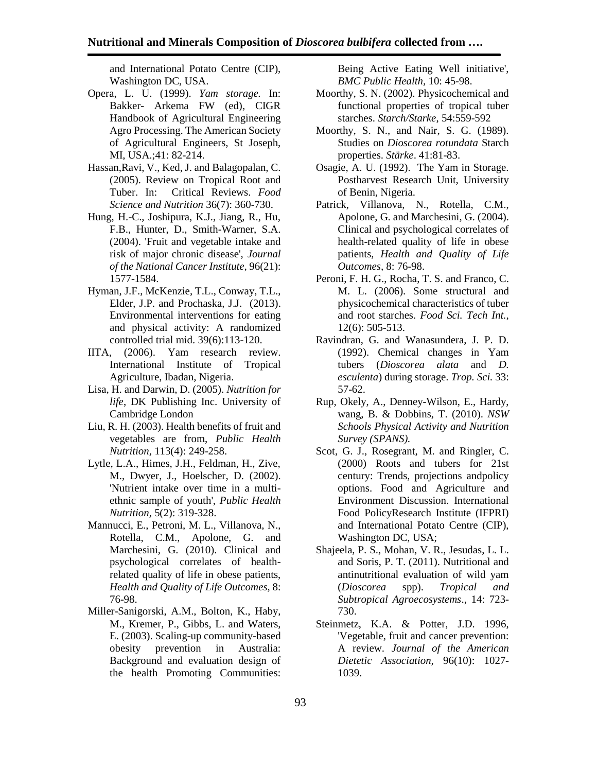and International Potato Centre (CIP), Washington DC, USA.

- Opera, L. U. (1999). *Yam storage.* In: Bakker- Arkema FW (ed), CIGR Handbook of Agricultural Engineering Agro Processing. The American Society of Agricultural Engineers, St Joseph, MI, USA.;41: 82-214.
- Hassan,Ravi, V., Ked, J. and Balagopalan, C. (2005). Review on Tropical Root and Tuber. In: Critical Reviews. *Food Science and Nutrition* 36(7): 360-730.
- Hung, H.-C., Joshipura, K.J., Jiang, R., Hu, F.B., Hunter, D., Smith-Warner, S.A. (2004). 'Fruit and vegetable intake and risk of major chronic disease', *Journal of the National Cancer Institute,* 96(21): 1577-1584.
- Hyman, J.F., McKenzie, T.L., Conway, T.L., Elder, J.P. and Prochaska, J.J. (2013). Environmental interventions for eating and physical activity: A randomized controlled trial mid. 39(6):113-120.
- IITA, (2006). Yam research review. International Institute of Tropical Agriculture, Ibadan, Nigeria.
- Lisa, H. and Darwin, D. (2005). *Nutrition for life*, DK Publishing Inc. University of Cambridge London
- Liu, R. H. (2003). Health benefits of fruit and vegetables are from, *Public Health Nutrition,* 113(4): 249-258.
- Lytle, L.A., Himes, J.H., Feldman, H., Zive, M., Dwyer, J., Hoelscher, D. (2002). 'Nutrient intake over time in a multiethnic sample of youth', *Public Health Nutrition,* 5(2): 319-328.
- Mannucci, E., Petroni, M. L., Villanova, N., Rotella, C.M., Apolone, G. and Marchesini, G. (2010). Clinical and psychological correlates of healthrelated quality of life in obese patients, *Health and Quality of Life Outcomes,* 8: 76-98.
- Miller-Sanigorski, A.M., Bolton, K., Haby, M., Kremer, P., Gibbs, L. and Waters, E. (2003). Scaling-up community-based obesity prevention in Australia: Background and evaluation design of the health Promoting Communities:

Being Active Eating Well initiative', *BMC Public Health,* 10: 45-98.

- Moorthy, S. N. (2002). Physicochemical and functional properties of tropical tuber starches. *Starch/Starke*, 54:559-592
- Moorthy, S. N., and Nair, S. G. (1989). Studies on *Dioscorea rotundata* Starch properties. *Stärke*. 41:81-83.
- Osagie, A. U. (1992). The Yam in Storage. Postharvest Research Unit, University of Benin, Nigeria.
- Patrick, Villanova, N., Rotella, C.M., Apolone, G. and Marchesini, G. (2004). Clinical and psychological correlates of health-related quality of life in obese patients, *Health and Quality of Life Outcomes,* 8: 76-98.
- Peroni, F. H. G., Rocha, T. S. and Franco, C. M. L. (2006). Some structural and physicochemical characteristics of tuber and root starches. *Food Sci. Tech Int.,* 12(6): 505-513.
- Ravindran, G. and Wanasundera, J. P. D. (1992). Chemical changes in Yam tubers (*Dioscorea alata* and *D. esculenta*) during storage. *Trop. Sci.* 33: 57-62.
- Rup, Okely, A., Denney-Wilson, E., Hardy, wang, B. & Dobbins, T. (2010). *NSW Schools Physical Activity and Nutrition Survey (SPANS).*
- Scot, G. J., Rosegrant, M. and Ringler, C. (2000) Roots and tubers for 21st century: Trends, projections andpolicy options. Food and Agriculture and Environment Discussion. International Food PolicyResearch Institute (IFPRI) and International Potato Centre (CIP), Washington DC, USA;
- Shajeela, P. S., Mohan, V. R., Jesudas, L. L. and Soris, P. T. (2011). Nutritional and antinutritional evaluation of wild yam (*Dioscorea* spp). *Tropical and Subtropical Agroecosystems*., 14: 723- 730.
- Steinmetz, K.A. & Potter, J.D. 1996, 'Vegetable, fruit and cancer prevention: A review. *Journal of the American Dietetic Association,* 96(10): 1027- 1039.